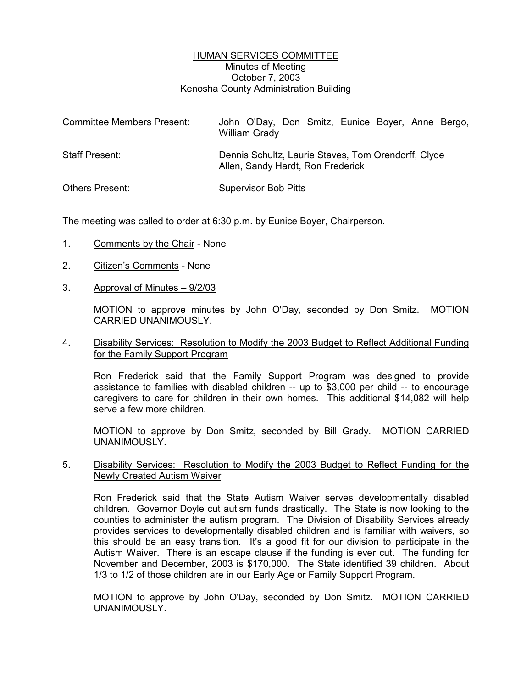#### HUMAN SERVICES COMMITTEE Minutes of Meeting October 7, 2003 Kenosha County Administration Building

| <b>Committee Members Present:</b> | John O'Day, Don Smitz, Eunice Boyer, Anne Bergo,<br><b>William Grady</b>                 |
|-----------------------------------|------------------------------------------------------------------------------------------|
| <b>Staff Present:</b>             | Dennis Schultz, Laurie Staves, Tom Orendorff, Clyde<br>Allen, Sandy Hardt, Ron Frederick |
| <b>Others Present:</b>            | <b>Supervisor Bob Pitts</b>                                                              |

The meeting was called to order at 6:30 p.m. by Eunice Boyer, Chairperson.

- 1. Comments by the Chair None
- 2. Citizen's Comments None
- 3. Approval of Minutes 9/2/03

MOTION to approve minutes by John O'Day, seconded by Don Smitz. MOTION CARRIED UNANIMOUSLY.

## 4. Disability Services: Resolution to Modify the 2003 Budget to Reflect Additional Funding for the Family Support Program

Ron Frederick said that the Family Support Program was designed to provide assistance to families with disabled children -- up to \$3,000 per child -- to encourage caregivers to care for children in their own homes. This additional \$14,082 will help serve a few more children.

MOTION to approve by Don Smitz, seconded by Bill Grady. MOTION CARRIED UNANIMOUSLY.

## 5. Disability Services: Resolution to Modify the 2003 Budget to Reflect Funding for the Newly Created Autism Waiver

Ron Frederick said that the State Autism Waiver serves developmentally disabled children. Governor Doyle cut autism funds drastically. The State is now looking to the counties to administer the autism program. The Division of Disability Services already provides services to developmentally disabled children and is familiar with waivers, so this should be an easy transition. It's a good fit for our division to participate in the Autism Waiver. There is an escape clause if the funding is ever cut. The funding for November and December, 2003 is \$170,000. The State identified 39 children. About 1/3 to 1/2 of those children are in our Early Age or Family Support Program.

MOTION to approve by John O'Day, seconded by Don Smitz. MOTION CARRIED UNANIMOUSLY.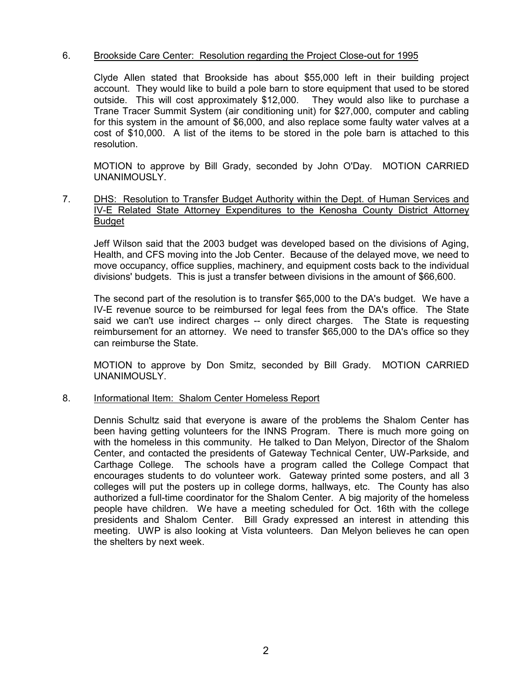## 6. Brookside Care Center: Resolution regarding the Project Close-out for 1995

Clyde Allen stated that Brookside has about \$55,000 left in their building project account. They would like to build a pole barn to store equipment that used to be stored outside. This will cost approximately \$12,000. They would also like to purchase a Trane Tracer Summit System (air conditioning unit) for \$27,000, computer and cabling for this system in the amount of \$6,000, and also replace some faulty water valves at a cost of \$10,000. A list of the items to be stored in the pole barn is attached to this resolution.

MOTION to approve by Bill Grady, seconded by John O'Day. MOTION CARRIED UNANIMOUSLY.

7. DHS: Resolution to Transfer Budget Authority within the Dept. of Human Services and IV-E Related State Attorney Expenditures to the Kenosha County District Attorney Budget

Jeff Wilson said that the 2003 budget was developed based on the divisions of Aging, Health, and CFS moving into the Job Center. Because of the delayed move, we need to move occupancy, office supplies, machinery, and equipment costs back to the individual divisions' budgets. This is just a transfer between divisions in the amount of \$66,600.

The second part of the resolution is to transfer \$65,000 to the DA's budget. We have a IV-E revenue source to be reimbursed for legal fees from the DA's office. The State said we can't use indirect charges -- only direct charges. The State is requesting reimbursement for an attorney. We need to transfer \$65,000 to the DA's office so they can reimburse the State.

MOTION to approve by Don Smitz, seconded by Bill Grady. MOTION CARRIED UNANIMOUSLY.

#### 8. Informational Item: Shalom Center Homeless Report

Dennis Schultz said that everyone is aware of the problems the Shalom Center has been having getting volunteers for the INNS Program. There is much more going on with the homeless in this community. He talked to Dan Melyon, Director of the Shalom Center, and contacted the presidents of Gateway Technical Center, UW-Parkside, and Carthage College. The schools have a program called the College Compact that encourages students to do volunteer work. Gateway printed some posters, and all 3 colleges will put the posters up in college dorms, hallways, etc. The County has also authorized a full-time coordinator for the Shalom Center. A big majority of the homeless people have children. We have a meeting scheduled for Oct. 16th with the college presidents and Shalom Center. Bill Grady expressed an interest in attending this meeting. UWP is also looking at Vista volunteers. Dan Melyon believes he can open the shelters by next week.